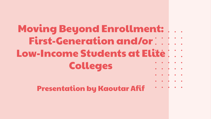# Moving Beyond Enrollment: First-Generation and/or $\vdots$ Low-Income Students at Elite No. Colleges Presentation by Kaoutar Afif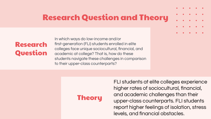### Research Question and Theory



In which ways do low-income and/or first-generation (FLI) students enrolled in elite colleges face unique sociocultural, financial, and academic at college? That is, how do these students navigate these challenges in comparison to their upper-class counterparts?

**Theory** 

FLI students at elite colleges experience higher rates of sociocultural, financial, and academic challenges than their upper-class counterparts. FLI students report higher feelings of isolation, stress levels, and financial obstacles.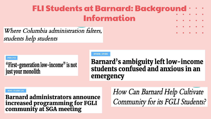## FLI Students at Barnard: Background **Information**

### Where Columbia administration falters, students help students

#### OPINION | OP-EDS

"First-generation low-income" is not just your monolith

#### **OPINION I OP-EDS**

**Barnard's ambiguity left low-income** students confused and anxious in an emergency

#### **NEWS I STUDENT LIFE**

**Barnard administrators announce** increased programming for FGLI community at SGA meeting

How Can Barnard Help Cultivate Community for its FGLI Students?

. . . . .

 $\begin{array}{ccccccccccccccccc} \multicolumn{2}{c|}{\color{blue}\ddots} & \multicolumn{2}{c|}{\color{blue}\ddots} & \multicolumn{2}{c|}{\color{blue}\ddots} & \multicolumn{2}{c|}{\color{blue}\ddots} & \multicolumn{2}{c|}{\color{blue}\ddots} & \multicolumn{2}{c|}{\color{blue}\ddots} & \multicolumn{2}{c|}{\color{blue}\ddots} & \multicolumn{2}{c|}{\color{blue}\ddots} & \multicolumn{2}{c|}{\color{blue}\ddots} & \multicolumn{2}{c|}{\color{blue}\ddots} & \multicolumn{2}{c|}{\color{blue}\ddots} &$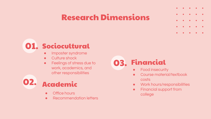### Research Dimensions





- Office hours
- Recommendation letters

03. Financial

- **•** Food insecurity
- Course material/textbook costs
- Work hours/responsibilities
- Financial support from college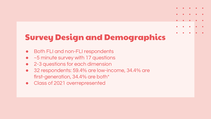# Survey Design and Demographics

- **Both FLI and non-FLI respondents**
- ~5 minute survey with 17 questions
- 2-3 questions for each dimension
- 32 respondents: 59.4% are low-income, 34.4% are first-generation, 34.4% are both\*
- Class of 2021 overrepresented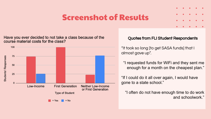### Screenshot of Results

Have you ever decided to not take a class because of the course material costs for the class?



#### Quotes from FLI Student Respondents

"It took so long [to get SASA funds] that I almost gave up".

"I requested funds for WiFi and they sent me enough for a month on the cheapest plan."

"If I could do it all over again, I would have gone to a state school."

"I often do not have enough time to do work and schoolwork."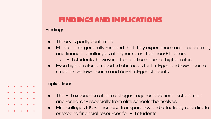### FINDINGS AND IMPLICATIONS

#### **Findings**

- Theory is partly confirmed
- FLI students generally respond that they experience social, academic, and financial challenges at higher rates than non-FLI peers FLI students, however, attend office hours at higher rates
- Even higher rates of reported obstacles for first-gen and low-income students vs. low-income and non-first-gen students

#### Implications

- The FLI experience at elite colleges requires additional scholarship and research–especially from elite schools themselves
- Elite colleges MUST increase transparency and effectively coordinate or expand financial resources for FLI students